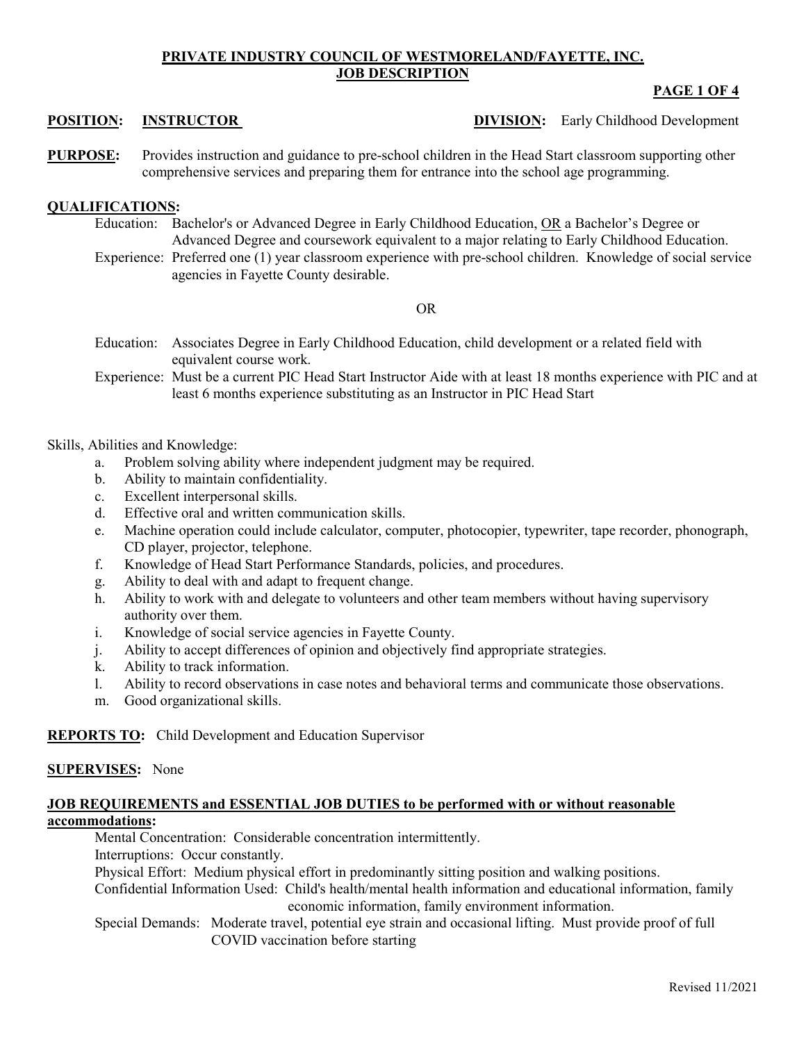## **PRIVATE INDUSTRY COUNCIL OF WESTMORELAND/FAYETTE, INC. JOB DESCRIPTION**

# **PAGE 1 OF 4**

- **POSITION: INSTRUCTOR DIVISION:** Early Childhood Development
- **PURPOSE:** Provides instruction and guidance to pre-school children in the Head Start classroom supporting other comprehensive services and preparing them for entrance into the school age programming.

# **QUALIFICATIONS:**

- Education: Bachelor's or Advanced Degree in Early Childhood Education, OR a Bachelor's Degree or Advanced Degree and coursework equivalent to a major relating to Early Childhood Education.
- Experience: Preferred one (1) year classroom experience with pre-school children. Knowledge of social service agencies in Fayette County desirable.

#### OR

- Education: Associates Degree in Early Childhood Education, child development or a related field with equivalent course work.
- Experience: Must be a current PIC Head Start Instructor Aide with at least 18 months experience with PIC and at least 6 months experience substituting as an Instructor in PIC Head Start

### Skills, Abilities and Knowledge:

- a. Problem solving ability where independent judgment may be required.
- b. Ability to maintain confidentiality.
- c. Excellent interpersonal skills.
- d. Effective oral and written communication skills.
- e. Machine operation could include calculator, computer, photocopier, typewriter, tape recorder, phonograph, CD player, projector, telephone.
- f. Knowledge of Head Start Performance Standards, policies, and procedures.
- g. Ability to deal with and adapt to frequent change.
- h. Ability to work with and delegate to volunteers and other team members without having supervisory authority over them.
- i. Knowledge of social service agencies in Fayette County.
- j. Ability to accept differences of opinion and objectively find appropriate strategies.
- k. Ability to track information.
- l. Ability to record observations in case notes and behavioral terms and communicate those observations.
- m. Good organizational skills.

## **REPORTS TO:** Child Development and Education Supervisor

#### **SUPERVISES:** None

# **JOB REQUIREMENTS and ESSENTIAL JOB DUTIES to be performed with or without reasonable accommodations:**

Mental Concentration: Considerable concentration intermittently.

Interruptions: Occur constantly.

Physical Effort: Medium physical effort in predominantly sitting position and walking positions.

Confidential Information Used: Child's health/mental health information and educational information, family economic information, family environment information.

Special Demands: Moderate travel, potential eye strain and occasional lifting. Must provide proof of full COVID vaccination before starting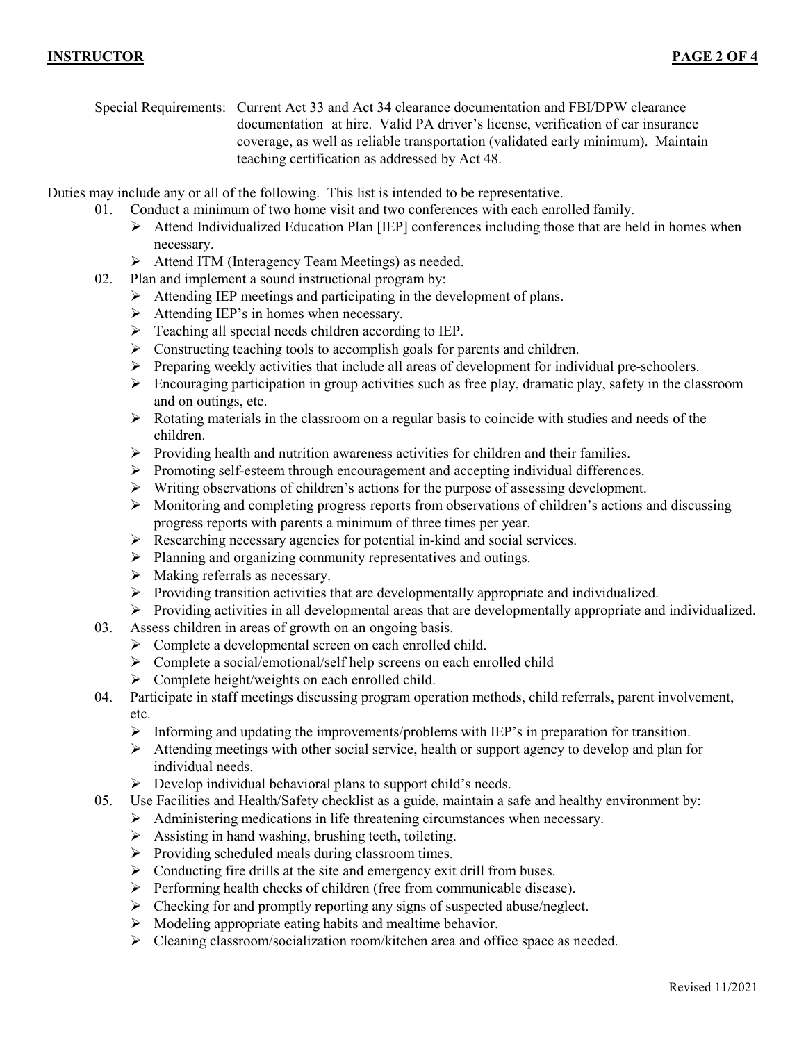Special Requirements: Current Act 33 and Act 34 clearance documentation and FBI/DPW clearance documentation at hire. Valid PA driver's license, verification of car insurance coverage, as well as reliable transportation (validated early minimum). Maintain teaching certification as addressed by Act 48.

Duties may include any or all of the following. This list is intended to be representative.

- 01. Conduct a minimum of two home visit and two conferences with each enrolled family.
	- $\triangleright$  Attend Individualized Education Plan [IEP] conferences including those that are held in homes when necessary.
	- Attend ITM (Interagency Team Meetings) as needed.
- 02. Plan and implement a sound instructional program by:
	- $\triangleright$  Attending IEP meetings and participating in the development of plans.
	- $\triangleright$  Attending IEP's in homes when necessary.
	- $\triangleright$  Teaching all special needs children according to IEP.
	- $\triangleright$  Constructing teaching tools to accomplish goals for parents and children.
	- $\triangleright$  Preparing weekly activities that include all areas of development for individual pre-schoolers.
	- $\triangleright$  Encouraging participation in group activities such as free play, dramatic play, safety in the classroom and on outings, etc.
	- $\triangleright$  Rotating materials in the classroom on a regular basis to coincide with studies and needs of the children.
	- $\triangleright$  Providing health and nutrition awareness activities for children and their families.
	- $\triangleright$  Promoting self-esteem through encouragement and accepting individual differences.
	- $\triangleright$  Writing observations of children's actions for the purpose of assessing development.
	- $\triangleright$  Monitoring and completing progress reports from observations of children's actions and discussing progress reports with parents a minimum of three times per year.
	- $\triangleright$  Researching necessary agencies for potential in-kind and social services.
	- $\triangleright$  Planning and organizing community representatives and outings.
	- $\triangleright$  Making referrals as necessary.
	- $\triangleright$  Providing transition activities that are developmentally appropriate and individualized.
	- Providing activities in all developmental areas that are developmentally appropriate and individualized.
- 03. Assess children in areas of growth on an ongoing basis.
	- > Complete a developmental screen on each enrolled child.
	- $\triangleright$  Complete a social/emotional/self help screens on each enrolled child
	- $\triangleright$  Complete height/weights on each enrolled child.
- 04. Participate in staff meetings discussing program operation methods, child referrals, parent involvement, etc.
	- Informing and updating the improvements/problems with IEP's in preparation for transition.
	- $\triangleright$  Attending meetings with other social service, health or support agency to develop and plan for individual needs.
	- $\triangleright$  Develop individual behavioral plans to support child's needs.
- 05. Use Facilities and Health/Safety checklist as a guide, maintain a safe and healthy environment by:
	- Administering medications in life threatening circumstances when necessary.
		- $\triangleright$  Assisting in hand washing, brushing teeth, toileting.
		- $\triangleright$  Providing scheduled meals during classroom times.
		- $\triangleright$  Conducting fire drills at the site and emergency exit drill from buses.
		- $\triangleright$  Performing health checks of children (free from communicable disease).
		- $\triangleright$  Checking for and promptly reporting any signs of suspected abuse/neglect.
		- $\triangleright$  Modeling appropriate eating habits and mealtime behavior.
		- Cleaning classroom/socialization room/kitchen area and office space as needed.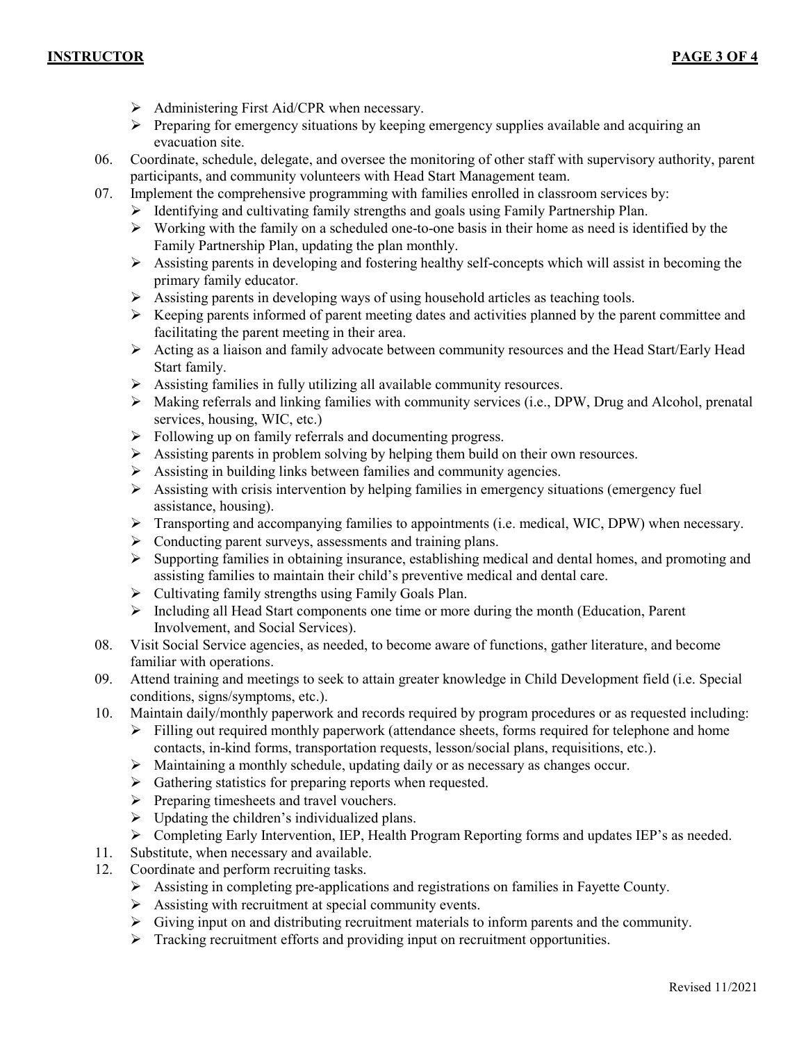- $\triangleright$  Administering First Aid/CPR when necessary.
- $\triangleright$  Preparing for emergency situations by keeping emergency supplies available and acquiring an evacuation site.
- 06. Coordinate, schedule, delegate, and oversee the monitoring of other staff with supervisory authority, parent participants, and community volunteers with Head Start Management team.
- 07. Implement the comprehensive programming with families enrolled in classroom services by:
	- $\triangleright$  Identifying and cultivating family strengths and goals using Family Partnership Plan.
	- $\triangleright$  Working with the family on a scheduled one-to-one basis in their home as need is identified by the Family Partnership Plan, updating the plan monthly.
	- $\triangleright$  Assisting parents in developing and fostering healthy self-concepts which will assist in becoming the primary family educator.
	- $\triangleright$  Assisting parents in developing ways of using household articles as teaching tools.
	- $\triangleright$  Keeping parents informed of parent meeting dates and activities planned by the parent committee and facilitating the parent meeting in their area.
	- $\triangleright$  Acting as a liaison and family advocate between community resources and the Head Start/Early Head Start family.
	- Assisting families in fully utilizing all available community resources.
	- $\triangleright$  Making referrals and linking families with community services (i.e., DPW, Drug and Alcohol, prenatal services, housing, WIC, etc.)
	- $\triangleright$  Following up on family referrals and documenting progress.
	- $\triangleright$  Assisting parents in problem solving by helping them build on their own resources.
	- $\triangleright$  Assisting in building links between families and community agencies.
	- $\triangleright$  Assisting with crisis intervention by helping families in emergency situations (emergency fuel assistance, housing).
	- $\triangleright$  Transporting and accompanying families to appointments (i.e. medical, WIC, DPW) when necessary.
	- $\triangleright$  Conducting parent surveys, assessments and training plans.
	- $\triangleright$  Supporting families in obtaining insurance, establishing medical and dental homes, and promoting and assisting families to maintain their child's preventive medical and dental care.
	- $\triangleright$  Cultivating family strengths using Family Goals Plan.
	- Including all Head Start components one time or more during the month (Education, Parent Involvement, and Social Services).
- 08. Visit Social Service agencies, as needed, to become aware of functions, gather literature, and become familiar with operations.
- 09. Attend training and meetings to seek to attain greater knowledge in Child Development field (i.e. Special conditions, signs/symptoms, etc.).
- 10. Maintain daily/monthly paperwork and records required by program procedures or as requested including:
	- $\triangleright$  Filling out required monthly paperwork (attendance sheets, forms required for telephone and home contacts, in-kind forms, transportation requests, lesson/social plans, requisitions, etc.).
	- $\triangleright$  Maintaining a monthly schedule, updating daily or as necessary as changes occur.
	- $\triangleright$  Gathering statistics for preparing reports when requested.
	- $\triangleright$  Preparing timesheets and travel vouchers.
	- $\triangleright$  Updating the children's individualized plans.
	- Completing Early Intervention, IEP, Health Program Reporting forms and updates IEP's as needed.
- 11. Substitute, when necessary and available.
- 12. Coordinate and perform recruiting tasks.
	- Assisting in completing pre-applications and registrations on families in Fayette County.
	- Assisting with recruitment at special community events.
	- $\triangleright$  Giving input on and distributing recruitment materials to inform parents and the community.
	- > Tracking recruitment efforts and providing input on recruitment opportunities.